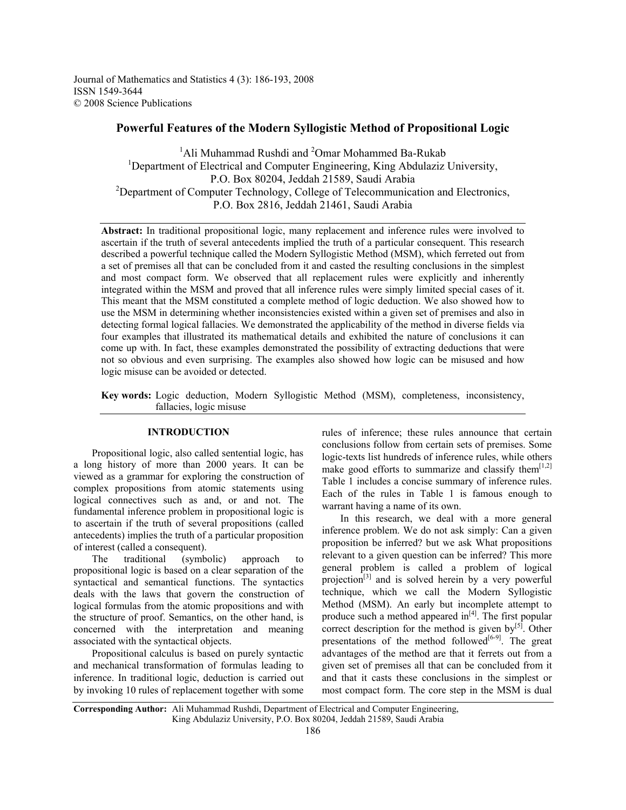Journal of Mathematics and Statistics 4 (3): 186-193, 2008 ISSN 1549-3644 © 2008 Science Publications

# **Powerful Features of the Modern Syllogistic Method of Propositional Logic**

<sup>1</sup>Ali Muhammad Rushdi and <sup>2</sup>Omar Mohammed Ba-Rukab <sup>1</sup>Department of Electrical and Computer Engineering, King Abdulaziz University, P.O. Box 80204, Jeddah 21589, Saudi Arabia <sup>2</sup>Department of Computer Technology, College of Telecommunication and Electronics, P.O. Box 2816, Jeddah 21461, Saudi Arabia

**Abstract:** In traditional propositional logic, many replacement and inference rules were involved to ascertain if the truth of several antecedents implied the truth of a particular consequent. This research described a powerful technique called the Modern Syllogistic Method (MSM), which ferreted out from a set of premises all that can be concluded from it and casted the resulting conclusions in the simplest and most compact form. We observed that all replacement rules were explicitly and inherently integrated within the MSM and proved that all inference rules were simply limited special cases of it. This meant that the MSM constituted a complete method of logic deduction. We also showed how to use the MSM in determining whether inconsistencies existed within a given set of premises and also in detecting formal logical fallacies. We demonstrated the applicability of the method in diverse fields via four examples that illustrated its mathematical details and exhibited the nature of conclusions it can come up with. In fact, these examples demonstrated the possibility of extracting deductions that were not so obvious and even surprising. The examples also showed how logic can be misused and how logic misuse can be avoided or detected.

**Key words:** Logic deduction, Modern Syllogistic Method (MSM), completeness, inconsistency, fallacies, logic misuse

## **INTRODUCTION**

 Propositional logic, also called sentential logic, has a long history of more than 2000 years. It can be viewed as a grammar for exploring the construction of complex propositions from atomic statements using logical connectives such as and, or and not. The fundamental inference problem in propositional logic is to ascertain if the truth of several propositions (called antecedents) implies the truth of a particular proposition of interest (called a consequent).

 The traditional (symbolic) approach to propositional logic is based on a clear separation of the syntactical and semantical functions. The syntactics deals with the laws that govern the construction of logical formulas from the atomic propositions and with the structure of proof. Semantics, on the other hand, is concerned with the interpretation and meaning associated with the syntactical objects.

 Propositional calculus is based on purely syntactic and mechanical transformation of formulas leading to inference. In traditional logic, deduction is carried out by invoking 10 rules of replacement together with some

rules of inference; these rules announce that certain conclusions follow from certain sets of premises. Some logic-texts list hundreds of inference rules, while others make good efforts to summarize and classify them<sup>[1,2]</sup> Table 1 includes a concise summary of inference rules. Each of the rules in Table 1 is famous enough to warrant having a name of its own.

 In this research, we deal with a more general inference problem. We do not ask simply: Can a given proposition be inferred? but we ask What propositions relevant to a given question can be inferred? This more general problem is called a problem of logical projection<sup>[3]</sup> and is solved herein by a very powerful technique, which we call the Modern Syllogistic Method (MSM). An early but incomplete attempt to produce such a method appeared  $in<sup>[4]</sup>$ . The first popular correct description for the method is given by $[5]$ . Other presentations of the method followed<sup>[6-9]</sup>. The great advantages of the method are that it ferrets out from a given set of premises all that can be concluded from it and that it casts these conclusions in the simplest or most compact form. The core step in the MSM is dual

**Corresponding Author:** Ali Muhammad Rushdi, Department of Electrical and Computer Engineering, King Abdulaziz University, P.O. Box 80204, Jeddah 21589, Saudi Arabia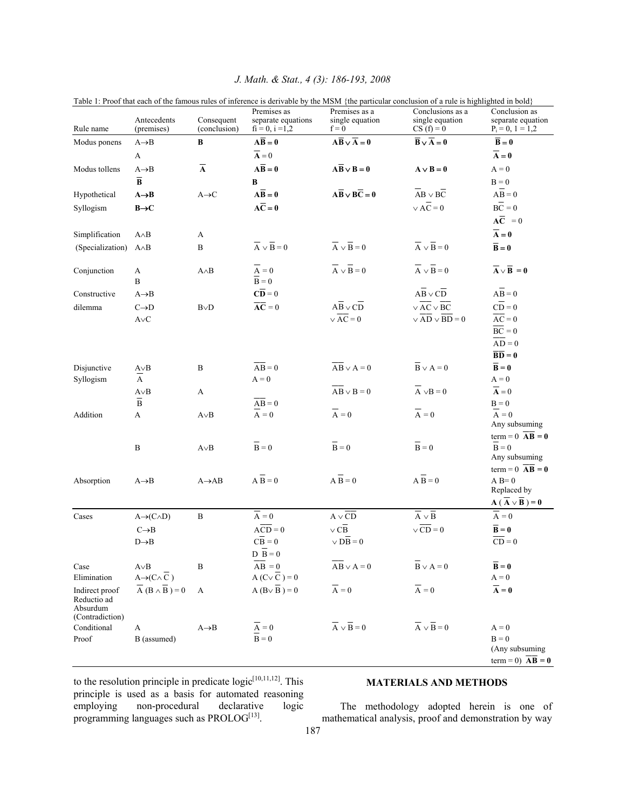|                                            |                                                |                            | Premises as                             | Premises as a                                    | raoic r. Froor that caen or the famous railes or inference is acrivable by the mism particular concidion or a rail is ingiligated in bord<br>Conclusions as a | Conclusion as                                               |
|--------------------------------------------|------------------------------------------------|----------------------------|-----------------------------------------|--------------------------------------------------|---------------------------------------------------------------------------------------------------------------------------------------------------------------|-------------------------------------------------------------|
| Rule name                                  | Antecedents<br>(premises)                      | Consequent<br>(conclusion) | separate equations<br>$fi = 0, i = 1,2$ | single equation<br>$f = 0$                       | single equation<br>$CS(f) = 0$                                                                                                                                | separate equation<br>$P_i = 0, 1 = 1,2$                     |
| Modus ponens                               | $A \rightarrow B$                              | B                          | $A\overline{B}=0$                       | $A\overline{B} \vee \overline{A} = 0$            | $B \vee A = 0$                                                                                                                                                | $B = 0$                                                     |
|                                            | A                                              |                            | $\overline{A}=0$                        |                                                  |                                                                                                                                                               | $\overline{A}=0$                                            |
| Modus tollens                              | $A \rightarrow B$                              | $\overline{\mathbf{A}}$    | $A\overline{B}=0$                       | $\overline{AB} \vee \overline{B} = 0$            | $A \vee B = 0$                                                                                                                                                | $A = 0$                                                     |
|                                            | $\overline{\mathbf{B}}$                        |                            | $\bf{B}$                                |                                                  |                                                                                                                                                               | $B = 0$                                                     |
| Hypothetical                               | $A \rightarrow B$                              | $A \rightarrow C$          | $A\overline{B}=0$                       | $A\overline{B} \vee B\overline{C} = 0$           | $\overline{AB} \vee \overline{BC}$                                                                                                                            | $\overline{AB} = 0$                                         |
| Syllogism                                  | $B\rightarrow C$                               |                            | $A\overline{C}=0$                       |                                                  | $\vee$ AC = 0                                                                                                                                                 | $\mathbf{B}\overline{\mathbf{C}}=0$                         |
|                                            |                                                |                            |                                         |                                                  |                                                                                                                                                               | $A\overline{C} = 0$                                         |
| Simplification                             | $A \wedge B$                                   | A                          |                                         |                                                  |                                                                                                                                                               | $\overline{A}=0$                                            |
| (Specialization)                           | $A \wedge B$                                   | B                          | $\overline{A} \vee \overline{B} = 0$    | $\overline{A} \vee \overline{B} = 0$             | $\overline{A} \vee \overline{B} = 0$                                                                                                                          | $\overline{B}=0$                                            |
|                                            |                                                |                            |                                         |                                                  |                                                                                                                                                               |                                                             |
| Conjunction                                | A                                              | $A \wedge B$               | $\overline{\mathbf{A}} = \mathbf{0}$    | $\overline{A} \vee \overline{B} = 0$             | $\overline{A} \vee \overline{B} = 0$                                                                                                                          | $\overline{A} \vee \overline{B} = 0$                        |
|                                            | B                                              |                            | $\overline{B} = 0$                      |                                                  |                                                                                                                                                               |                                                             |
| Constructive                               | $A \rightarrow B$                              |                            | $\overline{\mathbf{CD}} = 0$            |                                                  | $AB \vee CD$                                                                                                                                                  | $\overline{AB} = 0$                                         |
| dilemma                                    | $\text{C}\!\!\rightarrow\!\!\text{D}$          | $B\vee D$                  | $\overline{AC} = 0$                     | $\overline{AB} \vee \overline{CD}$               | $\sqrt{AC} \vee \overline{BC}$                                                                                                                                | $\overline{CD} = 0$                                         |
|                                            | $\mathsf{A}\!\!\vee\!\!\mathsf{C}$             |                            |                                         | $\sqrt{AC} = 0$                                  | $\vee$ AD $\vee$ BD = 0                                                                                                                                       | $\overline{AC} = 0$                                         |
|                                            |                                                |                            |                                         |                                                  |                                                                                                                                                               | $\overline{BC} = 0$                                         |
|                                            |                                                |                            |                                         |                                                  |                                                                                                                                                               | $AD = 0$                                                    |
|                                            |                                                |                            |                                         |                                                  |                                                                                                                                                               | $\overline{\mathbf{BD}} = \mathbf{0}$                       |
| Disjunctive                                | $A \vee B$<br>$\overline{A}$                   | B                          | $AB = 0$                                | $\overline{AB} \vee A = 0$                       | $\overline{B} \vee A = 0$                                                                                                                                     | $\overline{\mathbf{B}} = \mathbf{0}$                        |
| Syllogism                                  |                                                |                            | $A = 0$                                 |                                                  | $\overline{A} \vee B = 0$                                                                                                                                     | $A = 0$                                                     |
|                                            | $A \vee B$<br>$\overline{B}$                   | A                          |                                         | $\overline{AB} \vee B = 0$                       |                                                                                                                                                               | $\overline{\mathbf{A}} = 0$                                 |
| Addition                                   | A                                              | $A \vee B$                 | $AB = 0$<br>$\overline{A} = 0$          | $\overline{A} = 0$                               | $\overline{A} = 0$                                                                                                                                            | $B = 0$<br>$\overline{A} = 0$                               |
|                                            |                                                |                            |                                         |                                                  |                                                                                                                                                               | Any subsuming                                               |
|                                            |                                                |                            |                                         |                                                  |                                                                                                                                                               | $term = 0$ $AB = 0$                                         |
|                                            | $\, {\bf B}$                                   | $A \vee B$                 | $\overline{B} = 0$                      | $\overline{B} = 0$                               | $\overline{B} = 0$                                                                                                                                            | $B = 0$                                                     |
|                                            |                                                |                            |                                         |                                                  |                                                                                                                                                               | Any subsuming                                               |
|                                            |                                                |                            |                                         |                                                  |                                                                                                                                                               | term = $0 \overline{AB} = 0$                                |
| Absorption                                 | $A \rightarrow B$                              | $A \rightarrow AB$         | $\overline{AB} = 0$                     | $\overline{AB} = 0$                              | $\overline{AB} = 0$                                                                                                                                           | $A B = 0$<br>Replaced by                                    |
|                                            |                                                |                            |                                         |                                                  |                                                                                                                                                               | $\overline{A}$ ( $\overline{A}$ $\vee$ $\overline{B}$ ) = 0 |
| Cases                                      | $A \rightarrow (C \wedge D)$                   | $\, {\bf B}$               | $\overline{A} = 0$                      | $\mathbf{A}\vee \overline{\mathbf{C}\mathbf{D}}$ | $\overline{A} \vee \overline{B}$                                                                                                                              | $\overline{A} = 0$                                          |
|                                            | $C \rightarrow B$                              |                            | $\overline{ACD} = 0$                    | $\vee$ CB                                        | $\sqrt{CD} = 0$                                                                                                                                               | $\overline{\mathbf{B}} = \mathbf{0}$                        |
|                                            | $D\rightarrow B$                               |                            | $\overline{CB} = 0$                     | $\vee$ DB = 0                                    |                                                                                                                                                               | $\overline{CD} = 0$                                         |
|                                            |                                                |                            | $\overline{D} \ \overline{B} = 0$       |                                                  |                                                                                                                                                               |                                                             |
| Case                                       | $A \vee B$                                     | B                          | $AB = 0$                                | $\overline{AB} \vee A = 0$                       | $\overline{B} \vee A = 0$                                                                                                                                     | $B = 0$                                                     |
| Elimination                                | $A \rightarrow (C \wedge \overline{C})$        |                            | A $(C \vee \overline{C}) = 0$           |                                                  |                                                                                                                                                               | $A = 0$                                                     |
| Indirect proof                             | $\overline{A}$ ( $B \wedge \overline{B}$ ) = 0 | A                          | $A (B \vee \overline{B}) = 0$           | $\overline{A} = 0$                               | $\overline{A} = 0$                                                                                                                                            | $\overline{A} = 0$                                          |
| Reductio ad<br>Absurdum<br>(Contradiction) |                                                |                            |                                         |                                                  |                                                                                                                                                               |                                                             |
| Conditional                                | A                                              | $A \rightarrow B$          | $\overline{A} = 0$                      | $\overline{A} \vee \overline{B} = 0$             | $\overline{A} \vee \overline{B} = 0$                                                                                                                          | $A = 0$                                                     |
| Proof                                      | B (assumed)                                    |                            | $\overline{B} = 0$                      |                                                  |                                                                                                                                                               | $B = 0$                                                     |
|                                            |                                                |                            |                                         |                                                  |                                                                                                                                                               | (Any subsuming                                              |
|                                            |                                                |                            |                                         |                                                  |                                                                                                                                                               | term = 0) $AB = 0$                                          |

## *J. Math. & Stat., 4 (3): 186-193, 2008*

Table 1: Proof that each of the famous rules of inference is derivable by the MSM {the particular conclusion of a rule is highlighted in bold}

to the resolution principle in predicate  $logic^{[10,11,12]}$ . This principle is used as a basis for automated reasoning employing non-procedural declarative logic programming languages such as  $PROLOG<sup>[13]</sup>$ .

# **MATERIALS AND METHODS**

 The methodology adopted herein is one of mathematical analysis, proof and demonstration by way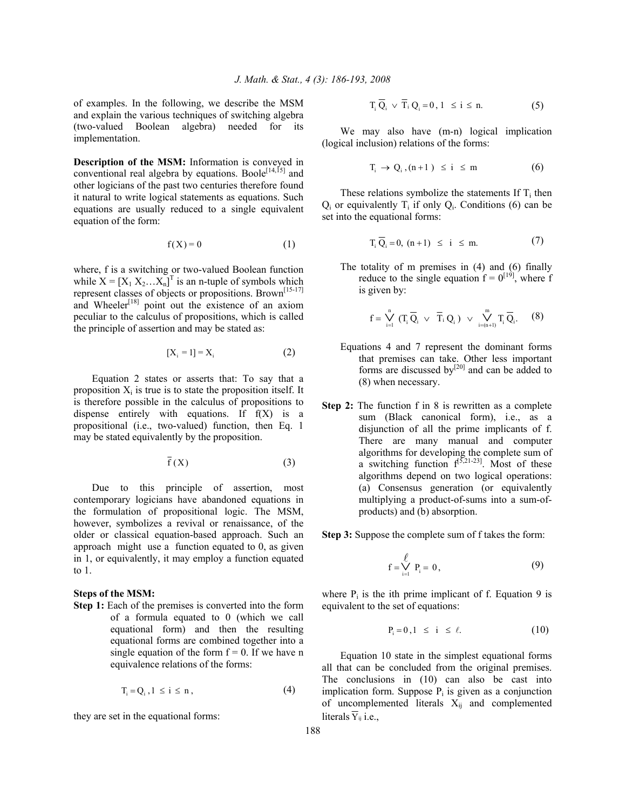of examples. In the following, we describe the MSM and explain the various techniques of switching algebra (two-valued Boolean algebra) needed for its implementation.

**Description of the MSM:** Information is conveyed in conventional real algebra by equations. Boole<sup>[14,15]</sup> and other logicians of the past two centuries therefore found it natural to write logical statements as equations. Such equations are usually reduced to a single equivalent equation of the form:

$$
f(X) = 0 \tag{1}
$$

where, f is a switching or two-valued Boolean function while  $X = [X_1 X_2 ... X_n]^T$  is an n-tuple of symbols which represent classes of objects or propositions. Brown[15-17] and Wheeler<sup>[18]</sup> point out the existence of an axiom peculiar to the calculus of propositions, which is called the principle of assertion and may be stated as:

$$
[X_i = 1] = X_i \tag{2}
$$

 Equation 2 states or asserts that: To say that a proposition  $X_i$  is true is to state the proposition itself. It is therefore possible in the calculus of propositions to dispense entirely with equations. If f(X) is a propositional (i.e., two-valued) function, then Eq. 1 may be stated equivalently by the proposition.

$$
\overline{f}(X) \tag{3}
$$

 Due to this principle of assertion, most contemporary logicians have abandoned equations in the formulation of propositional logic. The MSM, however, symbolizes a revival or renaissance, of the older or classical equation-based approach. Such an approach might use a function equated to 0, as given in 1, or equivalently, it may employ a function equated to 1.

#### **Steps of the MSM:**

**Step 1:** Each of the premises is converted into the form of a formula equated to 0 (which we call equational form) and then the resulting equational forms are combined together into a single equation of the form  $f = 0$ . If we have n equivalence relations of the forms:

$$
T_i = Q_i, 1 \le i \le n,
$$
\n<sup>(4)</sup>

they are set in the equational forms:

$$
T_i \overline{Q}_i \vee \overline{T}_i Q_i = 0, 1 \le i \le n. \tag{5}
$$

We may also have  $(m-n)$  logical implication (logical inclusion) relations of the forms:

$$
T_i \to Q_i, (n+1) \le i \le m \tag{6}
$$

These relations symbolize the statements If  $T_i$  then  $Q_i$  or equivalently  $T_i$  if only  $Q_i$ . Conditions (6) can be set into the equational forms:

$$
T_i \overline{Q}_i = 0, (n+1) \le i \le m. \tag{7}
$$

 The totality of m premises in (4) and (6) finally reduce to the single equation  $f = 0^{[19]}$ , where f is given by:

$$
f=\overset{n}{\underset{i=1}{\sum}}\ (T_i\overset{-}{Q}_i\ \vee\ \overline{T}_i\,Q_i\ )\ \vee\ \overset{m}{\underset{i=(n+1)}{\sum}}T_i\,\overline{Q}_i. \qquad (8)
$$

- Equations 4 and 7 represent the dominant forms that premises can take. Other less important forms are discussed by<sup>[20]</sup> and can be added to (8) when necessary.
- **Step 2:** The function f in 8 is rewritten as a complete sum (Black canonical form), i.e., as a disjunction of all the prime implicants of f. There are many manual and computer algorithms for developing the complete sum of a switching function  $f^{[5,21-23]}$ . Most of these algorithms depend on two logical operations: (a) Consensus generation (or equivalently multiplying a product-of-sums into a sum-ofproducts) and (b) absorption.

**Step 3:** Suppose the complete sum of f takes the form:

$$
f = \bigvee_{i=1}^{\ell} P_i = 0, \tag{9}
$$

where  $P_i$  is the ith prime implicant of f. Equation 9 is equivalent to the set of equations:

$$
P_i = 0, 1 \le i \le \ell. \tag{10}
$$

 Equation 10 state in the simplest equational forms all that can be concluded from the original premises. The conclusions in (10) can also be cast into implication form. Suppose  $P_i$  is given as a conjunction of uncomplemented literals  $X_{ij}$  and complemented literals  $\overline{Y}_{ij}$  i.e.,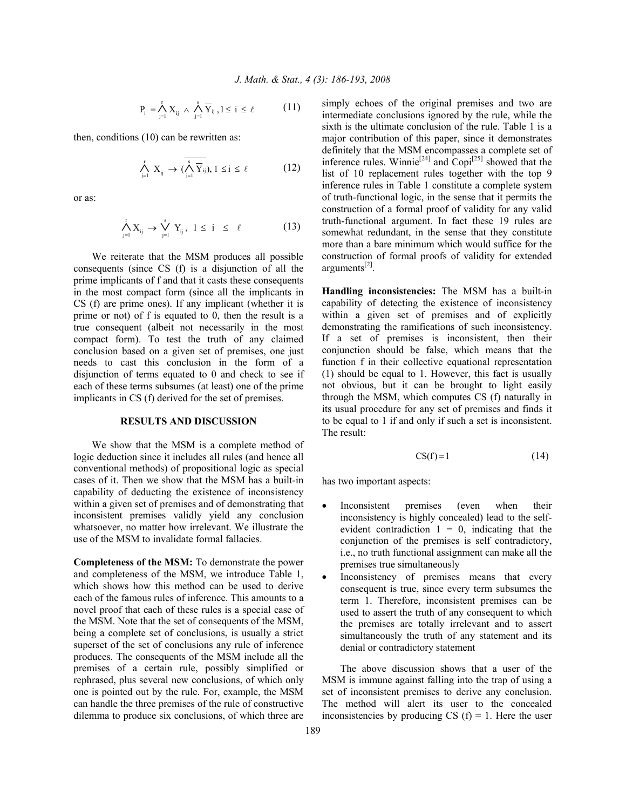$$
P_i = \bigwedge_{j=1}^r X_{ij} \ \wedge \ \bigwedge_{j=1}^s \overline{Y}_{ij} \ , 1 \leq i \leq \ell \qquad \qquad (11)
$$

then, conditions (10) can be rewritten as:

$$
\bigwedge_{j=1}^r X_{ij} \to (\bigwedge_{j=1}^s \overline{Y}_{ij}), 1 \le i \le \ell \tag{12}
$$

or as:

$$
\bigwedge_{j=1}^r X_{ij} \to \bigvee_{j=1}^s Y_{ij}, \ 1 \leq i \ \leq \ \ell \qquad \qquad (13)
$$

 We reiterate that the MSM produces all possible consequents (since CS (f) is a disjunction of all the prime implicants of f and that it casts these consequents in the most compact form (since all the implicants in CS (f) are prime ones). If any implicant (whether it is prime or not) of f is equated to 0, then the result is a true consequent (albeit not necessarily in the most compact form). To test the truth of any claimed conclusion based on a given set of premises, one just needs to cast this conclusion in the form of a disjunction of terms equated to 0 and check to see if each of these terms subsumes (at least) one of the prime implicants in CS (f) derived for the set of premises.

### **RESULTS AND DISCUSSION**

 We show that the MSM is a complete method of logic deduction since it includes all rules (and hence all conventional methods) of propositional logic as special cases of it. Then we show that the MSM has a built-in capability of deducting the existence of inconsistency within a given set of premises and of demonstrating that inconsistent premises validly yield any conclusion whatsoever, no matter how irrelevant. We illustrate the use of the MSM to invalidate formal fallacies.

**Completeness of the MSM:** To demonstrate the power and completeness of the MSM, we introduce Table 1, which shows how this method can be used to derive each of the famous rules of inference. This amounts to a novel proof that each of these rules is a special case of the MSM. Note that the set of consequents of the MSM, being a complete set of conclusions, is usually a strict superset of the set of conclusions any rule of inference produces. The consequents of the MSM include all the premises of a certain rule, possibly simplified or rephrased, plus several new conclusions, of which only one is pointed out by the rule. For, example, the MSM can handle the three premises of the rule of constructive dilemma to produce six conclusions, of which three are

simply echoes of the original premises and two are intermediate conclusions ignored by the rule, while the sixth is the ultimate conclusion of the rule. Table 1 is a major contribution of this paper, since it demonstrates definitely that the MSM encompasses a complete set of inference rules. Winnie<sup>[24]</sup> and  $\text{Copi}^{[25]}$  showed that the list of 10 replacement rules together with the top 9 inference rules in Table 1 constitute a complete system of truth-functional logic, in the sense that it permits the construction of a formal proof of validity for any valid truth-functional argument. In fact these 19 rules are somewhat redundant, in the sense that they constitute more than a bare minimum which would suffice for the construction of formal proofs of validity for extended arguments $^{[2]}$ .

**Handling inconsistencies:** The MSM has a built-in capability of detecting the existence of inconsistency within a given set of premises and of explicitly demonstrating the ramifications of such inconsistency. If a set of premises is inconsistent, then their conjunction should be false, which means that the function f in their collective equational representation (1) should be equal to 1. However, this fact is usually not obvious, but it can be brought to light easily through the MSM, which computes CS (f) naturally in its usual procedure for any set of premises and finds it to be equal to 1 if and only if such a set is inconsistent. The result:

$$
CS(f) = 1 \tag{14}
$$

has two important aspects:

- Inconsistent premises (even when their inconsistency is highly concealed) lead to the selfevident contradiction  $1 = 0$ , indicating that the conjunction of the premises is self contradictory, i.e., no truth functional assignment can make all the premises true simultaneously
- Inconsistency of premises means that every consequent is true, since every term subsumes the term 1. Therefore, inconsistent premises can be used to assert the truth of any consequent to which the premises are totally irrelevant and to assert simultaneously the truth of any statement and its denial or contradictory statement

 The above discussion shows that a user of the MSM is immune against falling into the trap of using a set of inconsistent premises to derive any conclusion. The method will alert its user to the concealed inconsistencies by producing CS  $(f) = 1$ . Here the user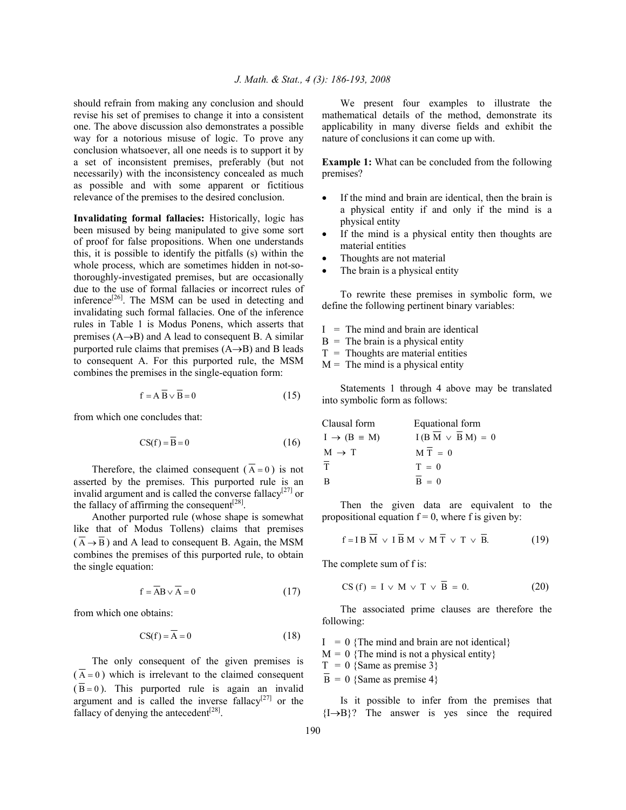should refrain from making any conclusion and should revise his set of premises to change it into a consistent one. The above discussion also demonstrates a possible way for a notorious misuse of logic. To prove any conclusion whatsoever, all one needs is to support it by a set of inconsistent premises, preferably (but not necessarily) with the inconsistency concealed as much as possible and with some apparent or fictitious relevance of the premises to the desired conclusion.

**Invalidating formal fallacies:** Historically, logic has been misused by being manipulated to give some sort of proof for false propositions. When one understands this, it is possible to identify the pitfalls (s) within the whole process, which are sometimes hidden in not-sothoroughly-investigated premises, but are occasionally due to the use of formal fallacies or incorrect rules of inference $^{[26]}$ . The MSM can be used in detecting and invalidating such formal fallacies. One of the inference rules in Table 1 is Modus Ponens, which asserts that premises  $(A\rightarrow B)$  and A lead to consequent B. A similar purported rule claims that premises (A→B) and B leads to consequent A. For this purported rule, the MSM combines the premises in the single-equation form:

$$
f = A \overline{B} \vee \overline{B} = 0 \tag{15}
$$

from which one concludes that:

$$
CS(f) = \overline{B} = 0 \tag{16}
$$

Therefore, the claimed consequent ( $\overline{A} = 0$ ) is not asserted by the premises. This purported rule is an invalid argument and is called the converse fallacy<sup>[27]</sup> or the fallacy of affirming the consequent<sup>[28]</sup>.

 Another purported rule (whose shape is somewhat like that of Modus Tollens) claims that premises  $(\overline{A} \rightarrow \overline{B})$  and A lead to consequent B. Again, the MSM combines the premises of this purported rule, to obtain the single equation:

$$
f = \overline{AB} \vee \overline{A} = 0 \tag{17}
$$

from which one obtains:

$$
CS(f) = A = 0 \tag{18}
$$

 The only consequent of the given premises is  $(\overline{A} = 0)$  which is irrelevant to the claimed consequent  $(\overline{B} = 0)$ . This purported rule is again an invalid argument and is called the inverse fallacy<sup>[27]</sup> or the fallacy of denying the antecedent $[28]$ .

 We present four examples to illustrate the mathematical details of the method, demonstrate its applicability in many diverse fields and exhibit the nature of conclusions it can come up with.

**Example 1:** What can be concluded from the following premises?

- If the mind and brain are identical, then the brain is a physical entity if and only if the mind is a physical entity
- If the mind is a physical entity then thoughts are material entities
- Thoughts are not material
- The brain is a physical entity

 To rewrite these premises in symbolic form, we define the following pertinent binary variables:

- $I =$ The mind and brain are identical
- $B =$ The brain is a physical entity
- $T =$ Thoughts are material entities
- $M =$ The mind is a physical entity

 Statements 1 through 4 above may be translated into symbolic form as follows:

| Clausal form                 | Equational form       |
|------------------------------|-----------------------|
| $I \rightarrow (B \equiv M)$ | $I(B M \vee B M) = 0$ |
| $M \rightarrow T$            | $M T = 0$             |
| $\overline{T}$               | $T = 0$               |
| B                            | $B = 0$               |

 Then the given data are equivalent to the propositional equation  $f = 0$ , where f is given by:

$$
f = IB \overline{M} \vee I \overline{B} M \vee M \overline{T} \vee T \vee \overline{B}.
$$
 (19)

The complete sum of f is:

$$
CS(f) = I \vee M \vee T \vee \overline{B} = 0. \tag{20}
$$

 The associated prime clauses are therefore the following:

 $I = 0$  {The mind and brain are not identical}  $M = 0$  {The mind is not a physical entity}  $T = 0$  {Same as premise 3}  $\overline{B} = 0$  {Same as premise 4}

 Is it possible to infer from the premises that  ${I\rightarrow}B$ ? The answer is yes since the required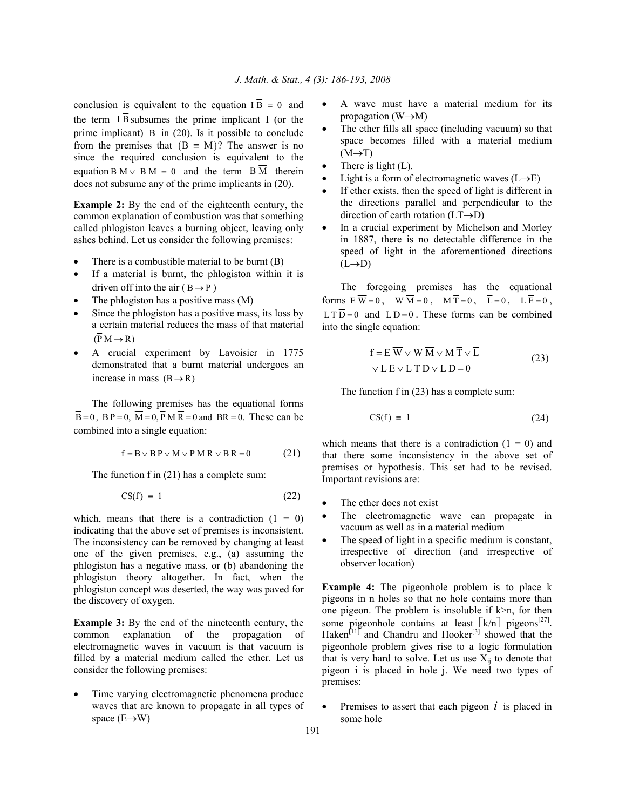conclusion is equivalent to the equation  $I\overline{B} = 0$  and the term  $\overline{1}$  B subsumes the prime implicant I (or the prime implicant)  $\overline{B}$  in (20). Is it possible to conclude from the premises that  ${B = M}$ ? The answer is no since the required conclusion is equivalent to the equation B  $\overline{M} \vee \overline{B} M = 0$  and the term B  $\overline{M}$  therein does not subsume any of the prime implicants in (20).

**Example 2:** By the end of the eighteenth century, the common explanation of combustion was that something called phlogiston leaves a burning object, leaving only ashes behind. Let us consider the following premises:

- There is a combustible material to be burnt  $(B)$
- If a material is burnt, the phlogiston within it is driven off into the air ( $B \rightarrow \overline{P}$ )
- The phlogiston has a positive mass (M)
- Since the phlogiston has a positive mass, its loss by a certain material reduces the mass of that material  $(\overline{P} M \rightarrow R)$
- A crucial experiment by Lavoisier in 1775 demonstrated that a burnt material undergoes an increase in mass  $(B \rightarrow \overline{R})$

 The following premises has the equational forms  $\overline{B} = 0$ ,  $\overline{B} = 0$ ,  $\overline{M} = 0$ ,  $\overline{P} M \overline{R} = 0$  and  $\overline{B}R = 0$ . These can be combined into a single equation:

$$
f = \overline{B} \vee B P \vee \overline{M} \vee \overline{P} M \overline{R} \vee B R = 0 \tag{21}
$$

The function f in (21) has a complete sum:

$$
CS(f) = 1 \tag{22}
$$

which, means that there is a contradiction  $(1 = 0)$ indicating that the above set of premises is inconsistent. The inconsistency can be removed by changing at least one of the given premises, e.g., (a) assuming the phlogiston has a negative mass, or (b) abandoning the phlogiston theory altogether. In fact, when the phlogiston concept was deserted, the way was paved for the discovery of oxygen.

**Example 3:** By the end of the nineteenth century, the common explanation of the propagation of electromagnetic waves in vacuum is that vacuum is filled by a material medium called the ether. Let us consider the following premises:

Time varying electromagnetic phenomena produce waves that are known to propagate in all types of space  $(E \rightarrow W)$ 

- A wave must have a material medium for its propagation  $(W \rightarrow M)$
- The ether fills all space (including vacuum) so that space becomes filled with a material medium  $(M \rightarrow T)$
- There is light  $(L)$ .
- Light is a form of electromagnetic waves  $(L\rightarrow E)$
- If ether exists, then the speed of light is different in the directions parallel and perpendicular to the direction of earth rotation  $(LT\rightarrow D)$
- In a crucial experiment by Michelson and Morley in 1887, there is no detectable difference in the speed of light in the aforementioned directions  $(L\rightarrow D)$

 The foregoing premises has the equational forms  $E \overline{W} = 0$ ,  $W \overline{M} = 0$ ,  $M \overline{T} = 0$ ,  $\overline{L} = 0$ ,  $L \overline{E} = 0$ ,  $LT\overline{D} = 0$  and  $LD = 0$ . These forms can be combined into the single equation:

$$
f = E \overline{W} \vee W \overline{M} \vee M \overline{T} \vee \overline{L}
$$
  
 
$$
\vee L \overline{E} \vee L T \overline{D} \vee L D = 0
$$
 (23)

The function f in (23) has a complete sum:

$$
CS(f) = 1 \tag{24}
$$

which means that there is a contradiction  $(1 = 0)$  and that there some inconsistency in the above set of premises or hypothesis. This set had to be revised. Important revisions are:

- The ether does not exist
- The electromagnetic wave can propagate in vacuum as well as in a material medium
- The speed of light in a specific medium is constant, irrespective of direction (and irrespective of observer location)

**Example 4:** The pigeonhole problem is to place k pigeons in n holes so that no hole contains more than one pigeon. The problem is insoluble if  $k>n$ , for then some pigeonhole contains at least  $\lceil k/n \rceil$  pigeons<sup>[27]</sup>. Haken $[11]$  and Chandru and Hooker<sup>[3]</sup> showed that the pigeonhole problem gives rise to a logic formulation that is very hard to solve. Let us use  $X_{ii}$  to denote that pigeon i is placed in hole j. We need two types of premises:

Premises to assert that each pigeon  $i$  is placed in some hole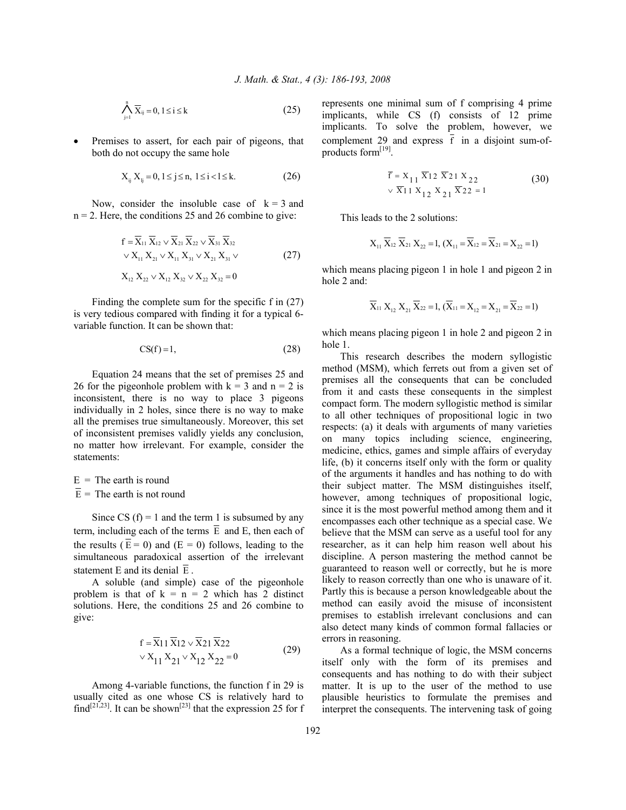$$
\bigwedge_{j=1}^{n} \overline{X}_{ij} = 0, 1 \leq i \leq k \tag{25}
$$

Premises to assert, for each pair of pigeons, that both do not occupy the same hole

$$
X_{ij} X_{lj} = 0, 1 \le j \le n, 1 \le i < l \le k. \tag{26}
$$

Now, consider the insoluble case of  $k = 3$  and  $n = 2$ . Here, the conditions 25 and 26 combine to give:

$$
f = \overline{X}_{11} \overline{X}_{12} \vee \overline{X}_{21} \overline{X}_{22} \vee \overline{X}_{31} \overline{X}_{32}
$$
  
 
$$
\vee X_{11} X_{21} \vee X_{11} X_{31} \vee X_{21} X_{31} \vee (27)
$$

 $X_{12} X_{22} \vee X_{12} X_{32} \vee X_{22} X_{32} = 0$ 

 Finding the complete sum for the specific f in (27) is very tedious compared with finding it for a typical 6 variable function. It can be shown that:

$$
CS(f)=1,\t(28)
$$

 Equation 24 means that the set of premises 25 and 26 for the pigeonhole problem with  $k = 3$  and  $n = 2$  is inconsistent, there is no way to place 3 pigeons individually in 2 holes, since there is no way to make all the premises true simultaneously. Moreover, this set of inconsistent premises validly yields any conclusion, no matter how irrelevant. For example, consider the statements:

 $E =$ The earth is round  $\overline{E}$  = The earth is not round

Since CS  $(f) = 1$  and the term 1 is subsumed by any term, including each of the terms  $\overline{E}$  and E, then each of the results ( $\overline{E} = 0$ ) and ( $E = 0$ ) follows, leading to the simultaneous paradoxical assertion of the irrelevant statement E and its denial  $\overline{E}$ .

 A soluble (and simple) case of the pigeonhole problem is that of  $k = n = 2$  which has 2 distinct solutions. Here, the conditions 25 and 26 combine to give:

$$
f = X11 X12 \vee X21 X22
$$
  
 
$$
\vee X_{11} X_{21} \vee X_{12} X_{22} = 0
$$
 (29)

 Among 4-variable functions, the function f in 29 is usually cited as one whose CS is relatively hard to find<sup>[21,23]</sup>. It can be shown<sup>[23]</sup> that the expression 25 for f represents one minimal sum of f comprising 4 prime implicants, while CS (f) consists of 12 prime implicants. To solve the problem, however, we complement 29 and express  $\overline{f}$  in a disjoint sum-ofproducts form<sup>[19]</sup>.

$$
\overline{f} = X_{11} \overline{X}_{12} \overline{X}_{21} X_{22}
$$
  
 
$$
\sqrt{X}_{11} X_{12} X_{21} \overline{X}_{22} = 1
$$
 (30)

This leads to the 2 solutions:

$$
X_{11} \overline{X}_{12} \overline{X}_{21} X_{22} = 1, (X_{11} = \overline{X}_{12} = \overline{X}_{21} = X_{22} = 1)
$$

which means placing pigeon 1 in hole 1 and pigeon 2 in hole 2 and:

$$
\overline{X}_{11} X_{12} X_{21} \overline{X}_{22} = 1, (\overline{X}_{11} = X_{12} = X_{21} = \overline{X}_{22} = 1)
$$

which means placing pigeon 1 in hole 2 and pigeon 2 in hole 1.

 This research describes the modern syllogistic method (MSM), which ferrets out from a given set of premises all the consequents that can be concluded from it and casts these consequents in the simplest compact form. The modern syllogistic method is similar to all other techniques of propositional logic in two respects: (a) it deals with arguments of many varieties on many topics including science, engineering, medicine, ethics, games and simple affairs of everyday life, (b) it concerns itself only with the form or quality of the arguments it handles and has nothing to do with their subject matter. The MSM distinguishes itself, however, among techniques of propositional logic, since it is the most powerful method among them and it encompasses each other technique as a special case. We believe that the MSM can serve as a useful tool for any researcher, as it can help him reason well about his discipline. A person mastering the method cannot be guaranteed to reason well or correctly, but he is more likely to reason correctly than one who is unaware of it. Partly this is because a person knowledgeable about the method can easily avoid the misuse of inconsistent premises to establish irrelevant conclusions and can also detect many kinds of common formal fallacies or errors in reasoning.

 As a formal technique of logic, the MSM concerns itself only with the form of its premises and consequents and has nothing to do with their subject matter. It is up to the user of the method to use plausible heuristics to formulate the premises and interpret the consequents. The intervening task of going